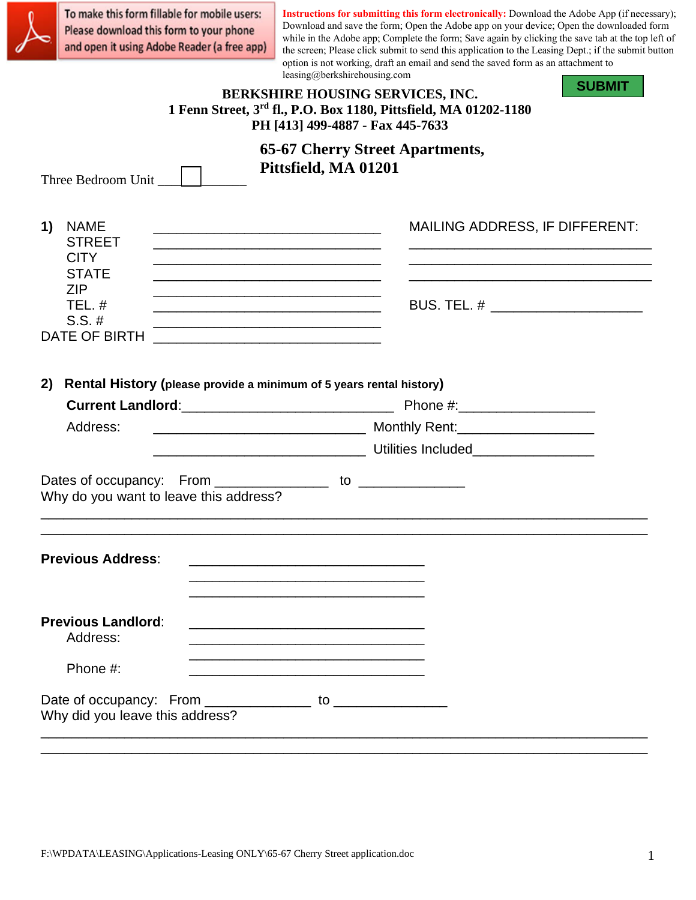To make this form fillable for mobile users: Please download this form to your phone and open it using Adobe Reader (a free app)

**Instructions for submitting this form electronically:** Download the Adobe App (if necessary); Download and save the form; Open the Adobe app on your device; Open the downloaded form while in the Adobe app; Complete the form; Save again by clicking the save tab at the top left of the screen; Please click submit to send this application to the Leasing Dept.; if the submit button option is not working, draft an email and send the saved form as an attachment to leasing@berkshirehousing.com

| reasing@oerksnirenousing.com<br><b>SUBMIT</b><br><b>BERKSHIRE HOUSING SERVICES, INC.</b><br>1 Fenn Street, 3rd fl., P.O. Box 1180, Pittsfield, MA 01202-1180<br>PH [413] 499-4887 - Fax 445-7633                                                                                                                                                                                     |                                                                |  |  |  |
|--------------------------------------------------------------------------------------------------------------------------------------------------------------------------------------------------------------------------------------------------------------------------------------------------------------------------------------------------------------------------------------|----------------------------------------------------------------|--|--|--|
|                                                                                                                                                                                                                                                                                                                                                                                      | <b>65-67 Cherry Street Apartments,</b><br>Pittsfield, MA 01201 |  |  |  |
| Three Bedroom Unit                                                                                                                                                                                                                                                                                                                                                                   |                                                                |  |  |  |
| <b>NAME</b><br>1)<br><u> 2000 - Jan James James Jan James James James James James James James James James James James James James Jam</u><br><b>STREET</b>                                                                                                                                                                                                                           | <b>MAILING ADDRESS, IF DIFFERENT:</b>                          |  |  |  |
| <b>CITY</b><br>the control of the control of the control of the control of the control of the control of the control of the control of the control of the control of the control of the control of the control of the control of the control<br><b>STATE</b><br><u> 1989 - Johann Stein, marwolaethau a bhann an t-Amhair an t-Amhair an t-Amhair an t-Amhair an t-Amhair an t-A</u> |                                                                |  |  |  |
| <b>ZIP</b><br>the control of the control of the control of the control of the control of the control of<br>TEL.#<br>$S.S. \#$                                                                                                                                                                                                                                                        | BUS. TEL. # _________________________                          |  |  |  |
| <b>DATE OF BIRTH</b>                                                                                                                                                                                                                                                                                                                                                                 |                                                                |  |  |  |
| Rental History (please provide a minimum of 5 years rental history)<br>2)<br>Address:                                                                                                                                                                                                                                                                                                |                                                                |  |  |  |
|                                                                                                                                                                                                                                                                                                                                                                                      |                                                                |  |  |  |
| Dates of occupancy: From _________________ to _______________<br>Why do you want to leave this address?                                                                                                                                                                                                                                                                              |                                                                |  |  |  |
| <b>Previous Address:</b><br><u> 1990 - Johann John Stone, mars et al. 1990 - John Stone, mars et al. 1990 - John Stone, mars et al. 1991 - 1</u>                                                                                                                                                                                                                                     |                                                                |  |  |  |
| <b>Previous Landlord:</b><br>Address:                                                                                                                                                                                                                                                                                                                                                |                                                                |  |  |  |
| Phone #:                                                                                                                                                                                                                                                                                                                                                                             |                                                                |  |  |  |
| Why did you leave this address?                                                                                                                                                                                                                                                                                                                                                      |                                                                |  |  |  |
|                                                                                                                                                                                                                                                                                                                                                                                      |                                                                |  |  |  |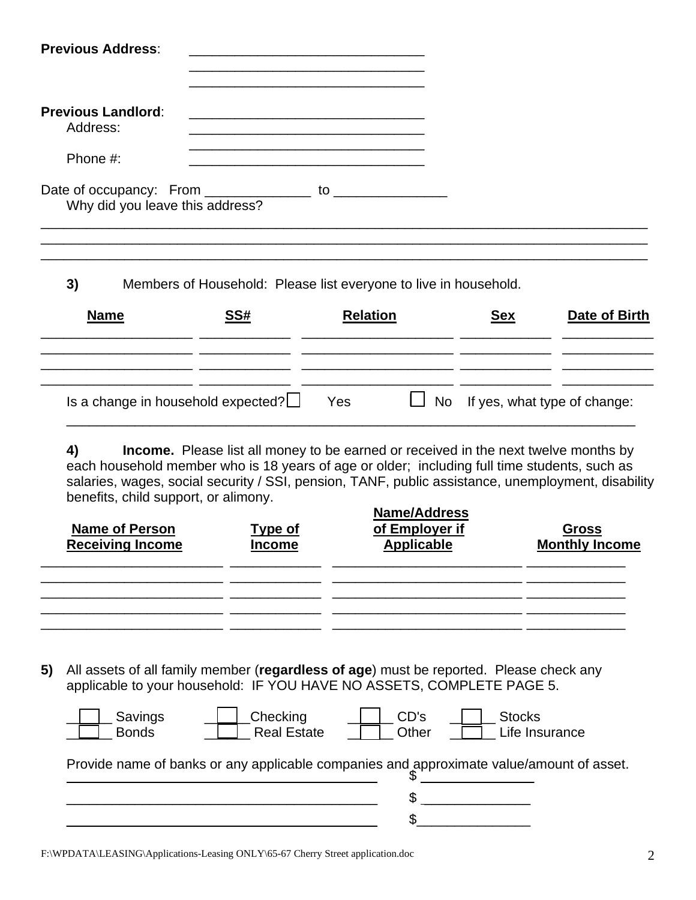| <b>Previous Address:</b>                                            |                |                                                                                                                                                                                                                                                                                                                                           |                                                            |                       |
|---------------------------------------------------------------------|----------------|-------------------------------------------------------------------------------------------------------------------------------------------------------------------------------------------------------------------------------------------------------------------------------------------------------------------------------------------|------------------------------------------------------------|-----------------------|
| <b>Previous Landlord:</b><br>Address:                               |                |                                                                                                                                                                                                                                                                                                                                           |                                                            |                       |
| Phone #:                                                            |                |                                                                                                                                                                                                                                                                                                                                           |                                                            |                       |
| Why did you leave this address?                                     |                |                                                                                                                                                                                                                                                                                                                                           |                                                            |                       |
| 3)                                                                  |                | Members of Household: Please list everyone to live in household.                                                                                                                                                                                                                                                                          |                                                            |                       |
| <b>Name</b>                                                         | <u>SS#</u>     | <b>Relation</b><br>the control of the control of the control of the control of the control of                                                                                                                                                                                                                                             | <u>Sex</u><br>the control of the control of the control of | Date of Birth         |
| Is a change in household expected? $\Box$                           |                | Yes<br>No                                                                                                                                                                                                                                                                                                                                 | If yes, what type of change:                               |                       |
| 4)<br>benefits, child support, or alimony.<br><b>Name of Person</b> | <b>Type of</b> | <b>Income.</b> Please list all money to be earned or received in the next twelve months by<br>each household member who is 18 years of age or older; including full time students, such as<br>salaries, wages, social security / SSI, pension, TANF, public assistance, unemployment, disability<br><b>Name/Address</b><br>of Employer if |                                                            | <u>Gross</u>          |
| <b>Receiving Income</b>                                             | <u>Income</u>  | <b>Applicable</b>                                                                                                                                                                                                                                                                                                                         |                                                            | <b>Monthly Income</b> |
|                                                                     |                |                                                                                                                                                                                                                                                                                                                                           |                                                            |                       |
| 5)                                                                  |                | All assets of all family member (regardless of age) must be reported. Please check any<br>applicable to your household: IF YOU HAVE NO ASSETS, COMPLETE PAGE 5.                                                                                                                                                                           |                                                            |                       |

| Savings<br>Bonds | Checking<br>Real Estate                                                                  | CD's<br>Other | <b>Stocks</b> | Life Insurance |
|------------------|------------------------------------------------------------------------------------------|---------------|---------------|----------------|
|                  | Provide name of banks or any applicable companies and approximate value/amount of asset. |               |               |                |
|                  |                                                                                          |               |               |                |
|                  |                                                                                          |               |               |                |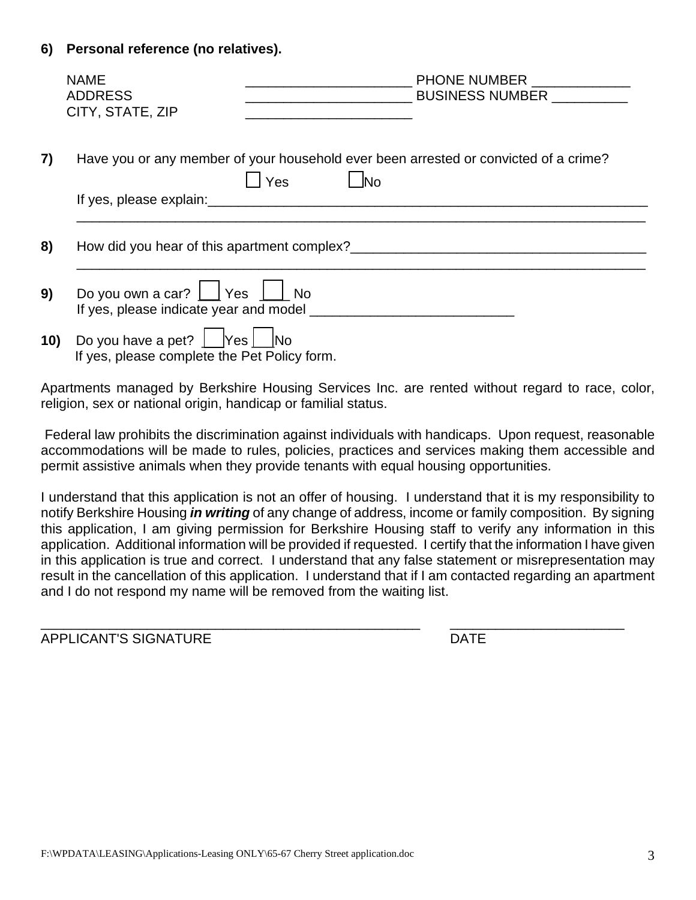## **6) Personal reference (no relatives).**

|     | <b>NAME</b><br><b>ADDRESS</b><br>CITY, STATE, ZIP                                                                                                                                                                              |     | PHONE NUMBER ______________<br>BUSINESS NUMBER                                       |  |
|-----|--------------------------------------------------------------------------------------------------------------------------------------------------------------------------------------------------------------------------------|-----|--------------------------------------------------------------------------------------|--|
| 7)  |                                                                                                                                                                                                                                | Yes | Have you or any member of your household ever been arrested or convicted of a crime? |  |
|     | If yes, please explain: example and a series of the series of the series of the series of the series of the series of the series of the series of the series of the series of the series of the series of the series of the se |     |                                                                                      |  |
| 8)  |                                                                                                                                                                                                                                |     | How did you hear of this apartment complex?                                          |  |
| 9)  | Do you own a car? $\vert$   Yes $\vert$   No<br>If yes, please indicate year and model                                                                                                                                         |     |                                                                                      |  |
| 10) | Do you have a pet?   Yes   No<br>If yes, please complete the Pet Policy form.                                                                                                                                                  |     |                                                                                      |  |

Apartments managed by Berkshire Housing Services Inc. are rented without regard to race, color, religion, sex or national origin, handicap or familial status.

Federal law prohibits the discrimination against individuals with handicaps. Upon request, reasonable accommodations will be made to rules, policies, practices and services making them accessible and permit assistive animals when they provide tenants with equal housing opportunities.

I understand that this application is not an offer of housing. I understand that it is my responsibility to notify Berkshire Housing *in writing* of any change of address, income or family composition. By signing this application, I am giving permission for Berkshire Housing staff to verify any information in this application. Additional information will be provided if requested. I certify that the information I have given in this application is true and correct. I understand that any false statement or misrepresentation may result in the cancellation of this application. I understand that if I am contacted regarding an apartment and I do not respond my name will be removed from the waiting list.

APPLICANT'S SIGNATURE **Example 20 International Section** 20 International DATE

\_\_\_\_\_\_\_\_\_\_\_\_\_\_\_\_\_\_\_\_\_\_\_\_\_\_\_\_\_\_\_\_\_\_\_\_\_\_\_\_\_\_\_\_\_\_\_\_\_\_ \_\_\_\_\_\_\_\_\_\_\_\_\_\_\_\_\_\_\_\_\_\_\_